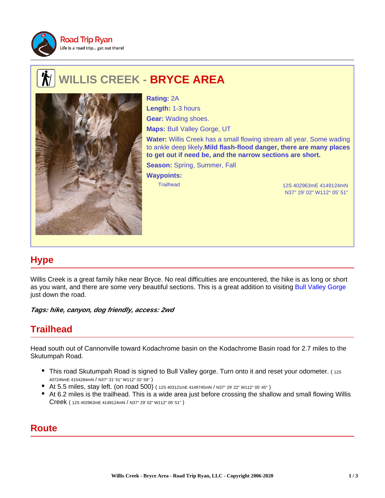

## **WILLIS CREEK - BRYCE AREA**



Trailhead 12S 402963mE 4149124mN **Rating:** 2A **Length:** 1-3 hours **Gear:** Wading shoes. **Maps:** Bull Valley Gorge, UT **Water:** Willis Creek has a small flowing stream all year. Some wading to ankle deep likely.**Mild flash-flood danger, there are many places to get out if need be, and the narrow sections are short. Season:** Spring, Summer, Fall **Waypoints:**

N37° 29' 02" W112° 05' 51"

## **Hype**

Willis Creek is a great family hike near Bryce. No real difficulties are encountered, the hike is as long or short as you want, and there are some very beautiful sections. This is a great addition to visiting Bull Valley Gorge just down the road.

**Tags: hike, canyon, dog friendly, access: 2wd**

## **Trailhead**

Head south out of Cannonville toward Kodachrome basin on the Kodachrome Basin road for 2.7 miles to the Skutumpah Road.

- This road Skutumpah Road is signed to Bull Valley gorge. Turn onto it and reset your odometer. (12S) 407246mE 4154284mN / N37° 31' 51" W112° 02' 59" )
- At 5.5 miles, stay left. (on road 500) ( 12S 403121mE 4149745mN / N37° 29' 22" W112° 05' 45" )
- At 6.2 miles is the trailhead. This is a wide area just before crossing the shallow and small flowing Willis Creek ( 12S 402963mE 4149124mN / N37° 29' 02" W112° 05' 51" )

## **Route**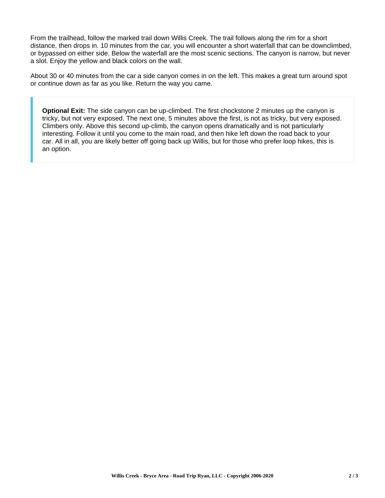From the trailhead, follow the marked trail down Willis Creek. The trail follows along the rim for a short distance, then drops in. 10 minutes from the car, you will encounter a short waterfall that can be downclimbed, or bypassed on either side. Below the waterfall are the most scenic sections. The canyon is narrow, but never a slot. Enjoy the yellow and black colors on the wall.

About 30 or 40 minutes from the car a side canyon comes in on the left. This makes a great turn around spot or continue down as far as you like. Return the way you came.

**Optional Exit:** The side canyon can be up-climbed. The first chockstone 2 minutes up the canyon is tricky, but not very exposed. The next one, 5 minutes above the first, is not as tricky, but very exposed. Climbers only. Above this second up-climb, the canyon opens dramatically and is not particularly interesting. Follow it until you come to the main road, and then hike left down the road back to your car. All in all, you are likely better off going back up Willis, but for those who prefer loop hikes, this is an option.